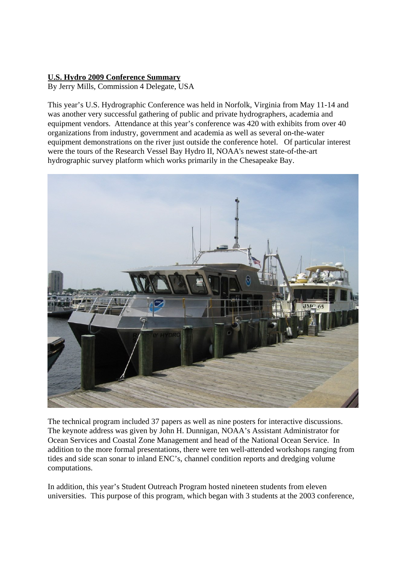## **U.S. Hydro 2009 Conference Summary**

By Jerry Mills, Commission 4 Delegate, USA

This year's U.S. Hydrographic Conference was held in Norfolk, Virginia from May 11-14 and was another very successful gathering of public and private hydrographers, academia and equipment vendors. Attendance at this year's conference was 420 with exhibits from over 40 organizations from industry, government and academia as well as several on-the-water equipment demonstrations on the river just outside the conference hotel. Of particular interest were the tours of the Research Vessel Bay Hydro II, NOAA's newest state-of-the-art hydrographic survey platform which works primarily in the Chesapeake Bay.



The technical program included 37 papers as well as nine posters for interactive discussions. The keynote address was given by John H. Dunnigan, NOAA's Assistant Administrator for Ocean Services and Coastal Zone Management and head of the National Ocean Service. In addition to the more formal presentations, there were ten well-attended workshops ranging from tides and side scan sonar to inland ENC's, channel condition reports and dredging volume computations.

In addition, this year's Student Outreach Program hosted nineteen students from eleven universities. This purpose of this program, which began with 3 students at the 2003 conference,